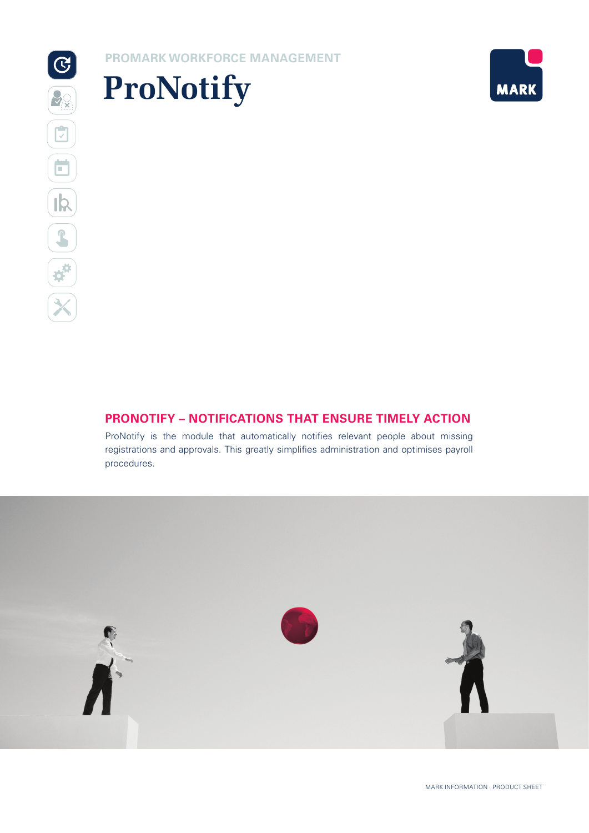# **PROMARK WORKFORCE MANAGEMENT**





# **PRONOTIFY – NOTIFICATIONS THAT ENSURE TIMELY ACTION**

ProNotify is the module that automatically notifies relevant people about missing registrations and approvals. This greatly simplifies administration and optimises payroll procedures.

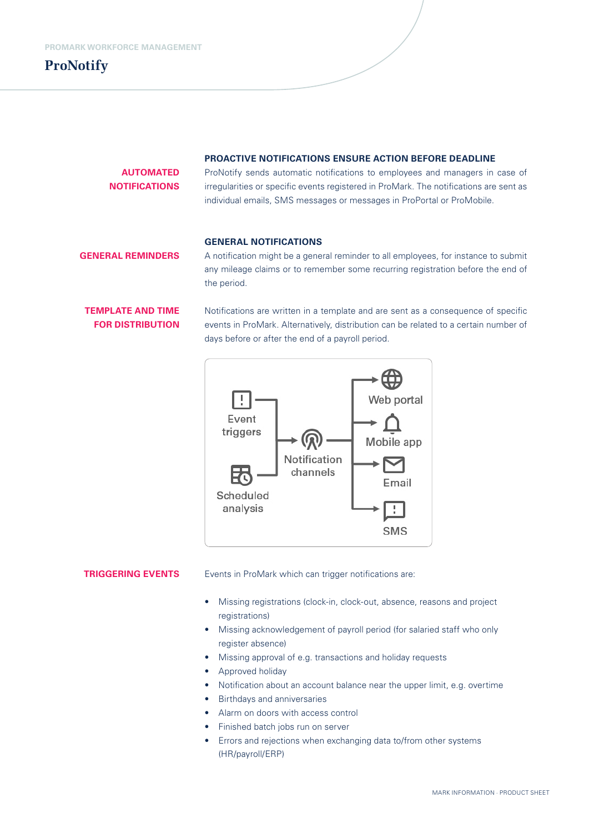**ProNotify**

#### **PROACTIVE NOTIFICATIONS ENSURE ACTION BEFORE DEADLINE**

**AUTOMATED NOTIFICATIONS**  ProNotify sends automatic notifications to employees and managers in case of irregularities or specific events registered in ProMark. The notifications are sent as individual emails, SMS messages or messages in ProPortal or ProMobile.

### **GENERAL NOTIFICATIONS**

## **GENERAL REMINDERS**

A notification might be a general reminder to all employees, for instance to submit any mileage claims or to remember some recurring registration before the end of the period.

# **TEMPLATE AND TIME FOR DISTRIBUTION**

Notifications are written in a template and are sent as a consequence of specific events in ProMark. Alternatively, distribution can be related to a certain number of days before or after the end of a payroll period.



### **TRIGGERING EVENTS**

Events in ProMark which can trigger notifications are:

- Missing registrations (clock-in, clock-out, absence, reasons and project registrations)
- Missing acknowledgement of payroll period (for salaried staff who only register absence)
- Missing approval of e.g. transactions and holiday requests
- Approved holiday
- Notification about an account balance near the upper limit, e.g. overtime
- Birthdays and anniversaries
- Alarm on doors with access control
- Finished batch jobs run on server
- Errors and rejections when exchanging data to/from other systems (HR/payroll/ERP)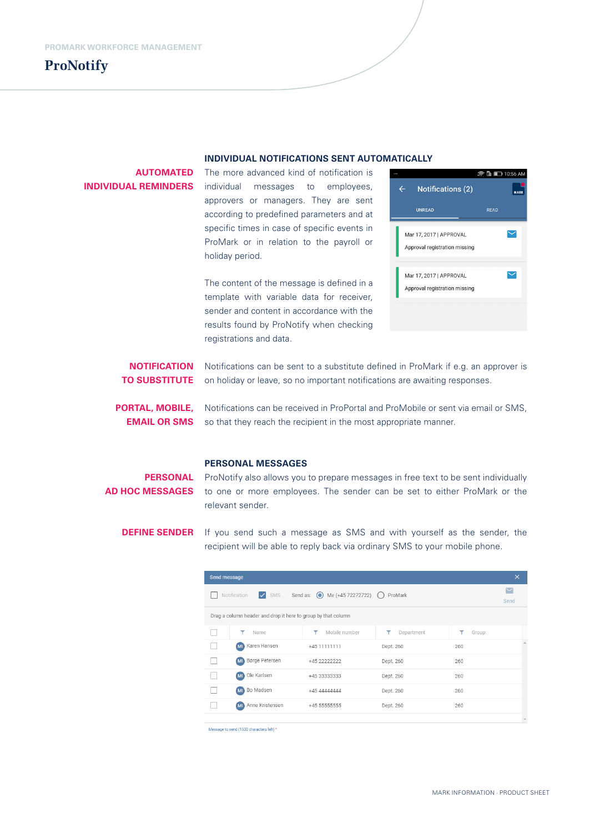

#### **INDIVIDUAL NOTIFICATIONS SENT AUTOMATICALLY**

| <b>AUTOMATED</b>            | The more advanced kind of notification is                                                                                                              | @ D 10:56 AM                                            |  |  |  |
|-----------------------------|--------------------------------------------------------------------------------------------------------------------------------------------------------|---------------------------------------------------------|--|--|--|
| <b>INDIVIDUAL REMINDERS</b> | individual<br>employees,<br>messages<br>to                                                                                                             | <b>Notifications (2)</b><br>$\leftarrow$<br><b>MARK</b> |  |  |  |
|                             | approvers or managers. They are sent<br>according to predefined parameters and at                                                                      | <b>UNREAD</b><br><b>READ</b>                            |  |  |  |
|                             | specific times in case of specific events in                                                                                                           | Mar 17, 2017   APPROVAL                                 |  |  |  |
|                             | ProMark or in relation to the payroll or<br>holiday period.                                                                                            | Approval registration missing                           |  |  |  |
|                             | The content of the message is defined in a                                                                                                             | Mar 17, 2017   APPROVAL                                 |  |  |  |
|                             | template with variable data for receiver,                                                                                                              | Approval registration missing                           |  |  |  |
|                             | sender and content in accordance with the                                                                                                              |                                                         |  |  |  |
|                             | results found by ProNotify when checking<br>registrations and data.                                                                                    |                                                         |  |  |  |
| <b>NOTIFICATION</b>         | Notifications can be sent to a substitute defined in ProMark if e.g. an approver is                                                                    |                                                         |  |  |  |
| <b>TO SUBSTITUTE</b>        | on holiday or leave, so no important notifications are awaiting responses.                                                                             |                                                         |  |  |  |
| PORTAL, MOBILE,             | Notifications can be received in ProPortal and ProMobile or sent via email or SMS,<br>so that they reach the recipient in the most appropriate manner. |                                                         |  |  |  |
| <b>EMAIL OR SMS</b>         |                                                                                                                                                        |                                                         |  |  |  |
|                             | <b>DEDCANAL MECCACEC</b>                                                                                                                               |                                                         |  |  |  |

#### **PERSONAL MESSAGES**

**PERSONAL** ProNotify also allows you to prepare messages in free text to be sent individually AD HOC MESSAGES to one or more employees. The sender can be set to either ProMark or the relevant sender.

**DEFINE SENDER** If you send such a message as SMS and with yourself as the sender, the recipient will be able to reply back via ordinary SMS to your mobile phone.

| Send message                                                                     |                       |               |                 |       | $\times$             |  |
|----------------------------------------------------------------------------------|-----------------------|---------------|-----------------|-------|----------------------|--|
| $\triangledown$ SMS<br>Send as: ● Me (+45 72272722) ●<br>Notification<br>ProMark |                       |               |                 |       | $\checkmark$<br>Send |  |
| Drag a column header and drop it here to group by that column                    |                       |               |                 |       |                      |  |
|                                                                                  | Name                  | Mobile number | Ÿ<br>Department | Group |                      |  |
|                                                                                  | Karen Hansen<br>(MI)  | +45 11111111  | Dept. 260       | 260   |                      |  |
|                                                                                  | Børge Petersen<br>MI  | +45 22222222  | Dept. 260       | 260   |                      |  |
|                                                                                  | Ole Karlsen<br>(M)    | +45 33333333  | Dept. 260       | 260   |                      |  |
|                                                                                  | Bo Madsen<br>MI       | +45 44444444  | Dept. 260       | 260   |                      |  |
|                                                                                  | Anne Kristensen<br>MI | +45 55555555  | Dept. 260       | 260   |                      |  |
|                                                                                  |                       |               |                 |       |                      |  |

Message to send (1530 characters left) \*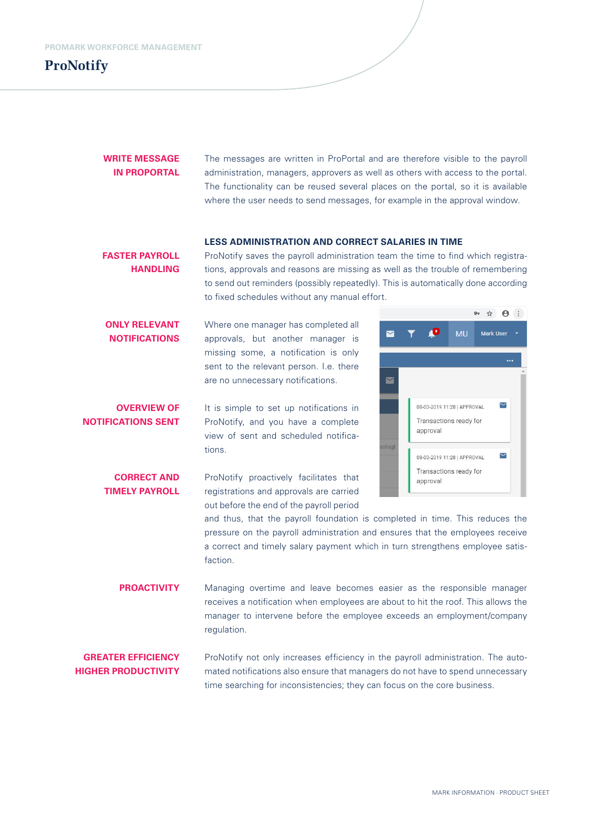

## **WRITE MESSAGE IN PROPORTAL**

The messages are written in ProPortal and are therefore visible to the payroll administration, managers, approvers as well as others with access to the portal. The functionality can be reused several places on the portal, so it is available where the user needs to send messages, for example in the approval window.

#### **LESS ADMINISTRATION AND CORRECT SALARIES IN TIME**

ProNotify saves the payroll administration team the time to find which registrations, approvals and reasons are missing as well as the trouble of remembering to send out reminders (possibly repeatedly). This is automatically done according to fixed schedules without any manual effort. **FASTER PAYROLL HANDLING**

Where one manager has completed all approvals, but another manager is missing some, a notification is only sent to the relevant person. I.e. there are no unnecessary notifications. **ONLY RELEVANT NOTIFICATIONS**

It is simple to set up notifications in ProNotify, and you have a complete view of sent and scheduled notifications. **OVERVIEW OF NOTIFICATIONS SENT**

ProNotify proactively facilitates that registrations and approvals are carried out before the end of the payroll period **CORRECT AND TIMELY PAYROLL**



and thus, that the payroll foundation is completed in time. This reduces the pressure on the payroll administration and ensures that the employees receive a correct and timely salary payment which in turn strengthens employee satisfaction.

Managing overtime and leave becomes easier as the responsible manager receives a notification when employees are about to hit the roof. This allows the manager to intervene before the employee exceeds an employment/company regulation. **PROACTIVITY**

**GREATER EFFICIENCY HIGHER PRODUCTIVITY**

ProNotify not only increases efficiency in the payroll administration. The automated notifications also ensure that managers do not have to spend unnecessary time searching for inconsistencies; they can focus on the core business.